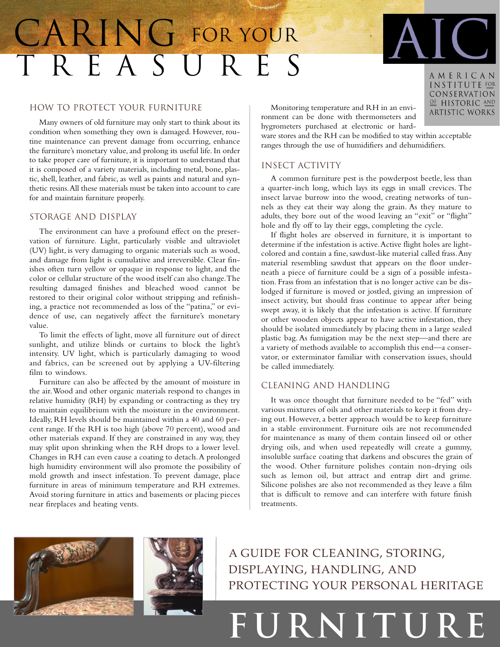## TREASURES CARING FOR YOUR

### How to Protect Your Furniture

Many owners of old furniture may only start to think about its condition when something they own is damaged. However, routine maintenance can prevent damage from occurring, enhance the furniture's monetary value, and prolong its useful life. In order to take proper care of furniture, it is important to understand that it is composed of a variety materials, including metal, bone, plastic, shell, leather, and fabric, as well as paints and natural and synthetic resins.All these materials must be taken into account to care for and maintain furniture properly.

#### Storage and Display

The environment can have a profound effect on the preservation of furniture. Light, particularly visible and ultraviolet (UV) light, is very damaging to organic materials such as wood, and damage from light is cumulative and irreversible. Clear finishes often turn yellow or opaque in response to light, and the color or cellular structure of the wood itself can also change.The resulting damaged finishes and bleached wood cannot be restored to their original color without stripping and refinishing, a practice not recommended as loss of the "patina," or evidence of use, can negatively affect the furniture's monetary value.

To limit the effects of light, move all furniture out of direct sunlight, and utilize blinds or curtains to block the light's intensity. UV light, which is particularly damaging to wood and fabrics, can be screened out by applying a UV-filtering film to windows.

Furniture can also be affected by the amount of moisture in the air.Wood and other organic materials respond to changes in relative humidity (RH) by expanding or contracting as they try to maintain equilibrium with the moisture in the environment. Ideally, RH levels should be maintained within a 40 and 60 percent range. If the RH is too high (above 70 percent), wood and other materials expand. If they are constrained in any way, they may split upon shrinking when the RH drops to a lower level. Changes in RH can even cause a coating to detach.A prolonged high humidity environment will also promote the possibility of mold growth and insect infestation. To prevent damage, place furniture in areas of minimum temperature and RH extremes. Avoid storing furniture in attics and basements or placing pieces near fireplaces and heating vents.

Monitoring temperature and RH in an environment can be done with thermometers and hygrometers purchased at electronic or hard-

ware stores and the RH can be modified to stay within acceptable ranges through the use of humidifiers and dehumidifiers.

#### Insect activity

A common furniture pest is the powderpost beetle, less than a quarter-inch long, which lays its eggs in small crevices. The insect larvae burrow into the wood, creating networks of tunnels as they eat their way along the grain. As they mature to adults, they bore out of the wood leaving an "exit" or "flight" hole and fly off to lay their eggs, completing the cycle.

If flight holes are observed in furniture, it is important to determine if the infestation is active.Active flight holes are lightcolored and contain a fine, sawdust-like material called frass.Any material resembling sawdust that appears on the floor underneath a piece of furniture could be a sign of a possible infestation. Frass from an infestation that is no longer active can be dislodged if furniture is moved or jostled, giving an impression of insect activity, but should frass continue to appear after being swept away, it is likely that the infestation is active. If furniture or other wooden objects appear to have active infestation, they should be isolated immediately by placing them in a large sealed plastic bag. As fumigation may be the next step—and there are a variety of methods available to accomplish this end—a conservator, or exterminator familiar with conservation issues, should be called immediately.

#### Cleaning and Handling

It was once thought that furniture needed to be "fed" with various mixtures of oils and other materials to keep it from drying out. However, a better approach would be to keep furniture in a stable environment. Furniture oils are not recommended for maintenance as many of them contain linseed oil or other drying oils, and when used repeatedly will create a gummy, insoluble surface coating that darkens and obscures the grain of the wood. Other furniture polishes contain non-drying oils such as lemon oil, but attract and entrap dirt and grime. Silicone polishes are also not recommended as they leave a film that is difficult to remove and can interfere with future finish treatments.





A GUIDE FOR CLEANING, STORING, DISPLAYING, HANDLING, AND PROTECTING YOUR PERSONAL HERITAGE

# **FURNITURE**

AMERICAN INSTITUTE FOR CONSERVATION OF HISTORIC AND ARTISTIC WORKS